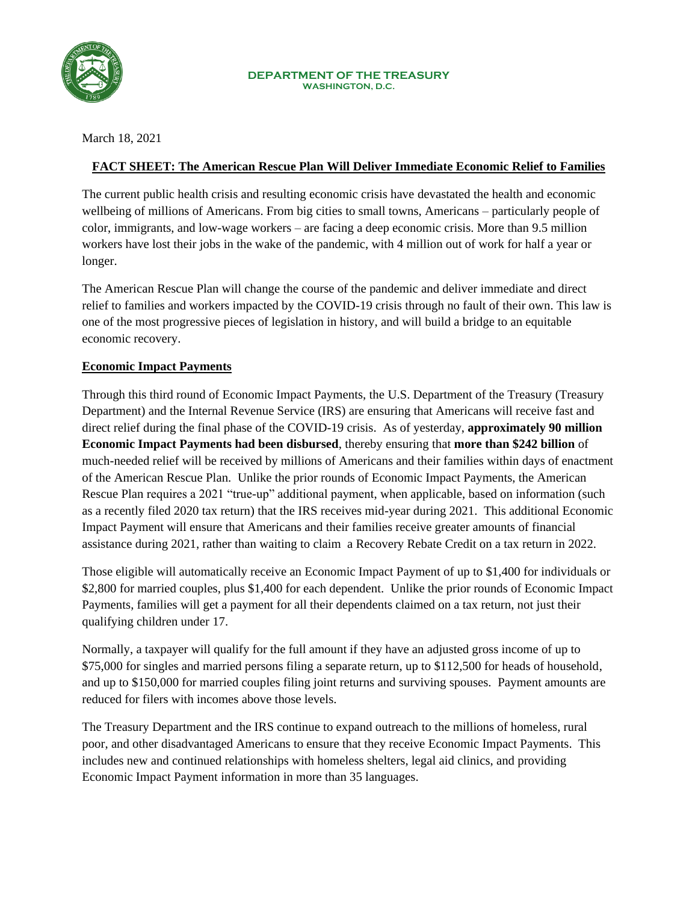

March 18, 2021

#### **FACT SHEET: The American Rescue Plan Will Deliver Immediate Economic Relief to Families**

The current public health crisis and resulting economic crisis have devastated the health and economic wellbeing of millions of Americans. From big cities to small towns, Americans – particularly people of color, immigrants, and low-wage workers – are facing a deep economic crisis. More than 9.5 million workers have lost their jobs in the wake of the pandemic, with 4 million out of work for half a year or longer.

The American Rescue Plan will change the course of the pandemic and deliver immediate and direct relief to families and workers impacted by the COVID-19 crisis through no fault of their own. This law is one of the most progressive pieces of legislation in history, and will build a bridge to an equitable economic recovery.

#### **Economic Impact Payments**

Through this third round of Economic Impact Payments, the U.S. Department of the Treasury (Treasury Department) and the Internal Revenue Service (IRS) are ensuring that Americans will receive fast and direct relief during the final phase of the COVID-19 crisis. As of yesterday, **approximately 90 million Economic Impact Payments had been disbursed**, thereby ensuring that **more than \$242 billion** of much-needed relief will be received by millions of Americans and their families within days of enactment of the American Rescue Plan. Unlike the prior rounds of Economic Impact Payments, the American Rescue Plan requires a 2021 "true-up" additional payment, when applicable, based on information (such as a recently filed 2020 tax return) that the IRS receives mid-year during 2021. This additional Economic Impact Payment will ensure that Americans and their families receive greater amounts of financial assistance during 2021, rather than waiting to claim a Recovery Rebate Credit on a tax return in 2022.

Those eligible will automatically receive an Economic Impact Payment of up to \$1,400 for individuals or \$2,800 for married couples, plus \$1,400 for each dependent. Unlike the prior rounds of Economic Impact Payments, families will get a payment for all their dependents claimed on a tax return, not just their qualifying children under 17.

Normally, a taxpayer will qualify for the full amount if they have an adjusted gross income of up to \$75,000 for singles and married persons filing a separate return, up to \$112,500 for heads of household, and up to \$150,000 for married couples filing joint returns and surviving spouses. Payment amounts are reduced for filers with incomes above those levels.

The Treasury Department and the IRS continue to expand outreach to the millions of homeless, rural poor, and other disadvantaged Americans to ensure that they receive Economic Impact Payments. This includes new and continued relationships with homeless shelters, legal aid clinics, and providing Economic Impact Payment information in more than 35 languages.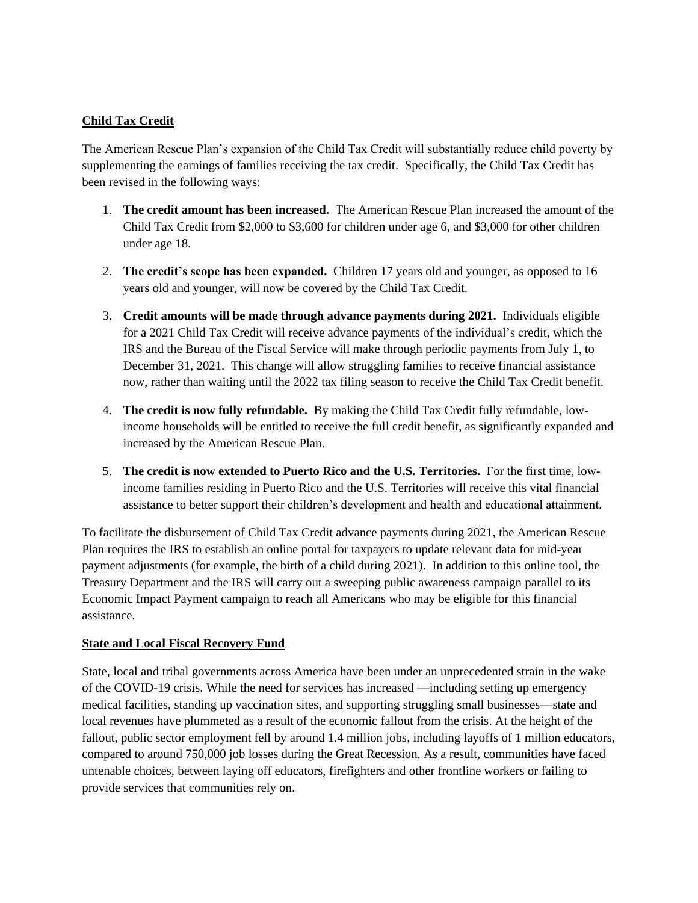#### **Child Tax Credit**

The American Rescue Plan's expansion of the Child Tax Credit will substantially reduce child poverty by supplementing the earnings of families receiving the tax credit. Specifically, the Child Tax Credit has been revised in the following ways:

- 1. **The credit amount has been increased.** The American Rescue Plan increased the amount of the Child Tax Credit from \$2,000 to \$3,600 for children under age 6, and \$3,000 for other children under age 18.
- 2. **The credit's scope has been expanded.** Children 17 years old and younger, as opposed to 16 years old and younger, will now be covered by the Child Tax Credit.
- 3. **Credit amounts will be made through advance payments during 2021.** Individuals eligible for a 2021 Child Tax Credit will receive advance payments of the individual's credit, which the IRS and the Bureau of the Fiscal Service will make through periodic payments from July 1, to December 31, 2021. This change will allow struggling families to receive financial assistance now, rather than waiting until the 2022 tax filing season to receive the Child Tax Credit benefit.
- 4. **The credit is now fully refundable.** By making the Child Tax Credit fully refundable, lowincome households will be entitled to receive the full credit benefit, as significantly expanded and increased by the American Rescue Plan.
- 5. **The credit is now extended to Puerto Rico and the U.S. Territories.** For the first time, lowincome families residing in Puerto Rico and the U.S. Territories will receive this vital financial assistance to better support their children's development and health and educational attainment.

To facilitate the disbursement of Child Tax Credit advance payments during 2021, the American Rescue Plan requires the IRS to establish an online portal for taxpayers to update relevant data for mid-year payment adjustments (for example, the birth of a child during 2021). In addition to this online tool, the Treasury Department and the IRS will carry out a sweeping public awareness campaign parallel to its Economic Impact Payment campaign to reach all Americans who may be eligible for this financial assistance.

#### **State and Local Fiscal Recovery Fund**

State, local and tribal governments across America have been under an unprecedented strain in the wake of the COVID-19 crisis. While the need for services has increased —including setting up emergency medical facilities, standing up vaccination sites, and supporting struggling small businesses—state and local revenues have plummeted as a result of the economic fallout from the crisis. At the height of the fallout, public sector employment fell by around 1.4 million jobs, including layoffs of 1 million educators, compared to around 750,000 job losses during the Great Recession. As a result, communities have faced untenable choices, between laying off educators, firefighters and other frontline workers or failing to provide services that communities rely on.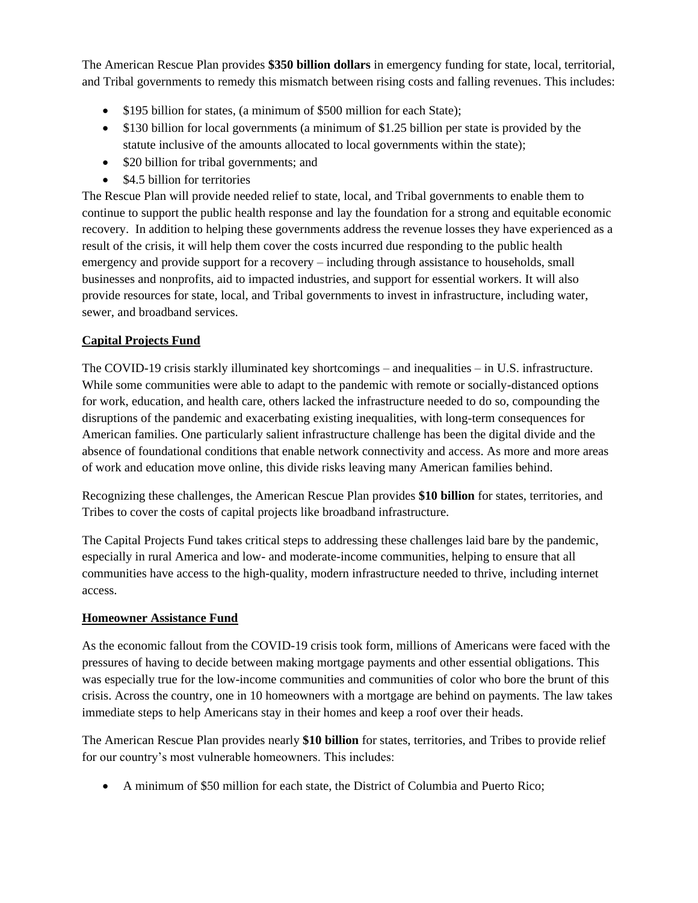The American Rescue Plan provides **\$350 billion dollars** in emergency funding for state, local, territorial, and Tribal governments to remedy this mismatch between rising costs and falling revenues. This includes:

- \$195 billion for states, (a minimum of \$500 million for each State);
- \$130 billion for local governments (a minimum of \$1.25 billion per state is provided by the statute inclusive of the amounts allocated to local governments within the state);
- \$20 billion for tribal governments; and
- \$4.5 billion for territories

The Rescue Plan will provide needed relief to state, local, and Tribal governments to enable them to continue to support the public health response and lay the foundation for a strong and equitable economic recovery. In addition to helping these governments address the revenue losses they have experienced as a result of the crisis, it will help them cover the costs incurred due responding to the public health emergency and provide support for a recovery – including through assistance to households, small businesses and nonprofits, aid to impacted industries, and support for essential workers. It will also provide resources for state, local, and Tribal governments to invest in infrastructure, including water, sewer, and broadband services.

## **Capital Projects Fund**

The COVID-19 crisis starkly illuminated key shortcomings – and inequalities – in U.S. infrastructure. While some communities were able to adapt to the pandemic with remote or socially-distanced options for work, education, and health care, others lacked the infrastructure needed to do so, compounding the disruptions of the pandemic and exacerbating existing inequalities, with long-term consequences for American families. One particularly salient infrastructure challenge has been the digital divide and the absence of foundational conditions that enable network connectivity and access. As more and more areas of work and education move online, this divide risks leaving many American families behind.

Recognizing these challenges, the American Rescue Plan provides **\$10 billion** for states, territories, and Tribes to cover the costs of capital projects like broadband infrastructure.

The Capital Projects Fund takes critical steps to addressing these challenges laid bare by the pandemic, especially in rural America and low- and moderate-income communities, helping to ensure that all communities have access to the high-quality, modern infrastructure needed to thrive, including internet access.

## **Homeowner Assistance Fund**

As the economic fallout from the COVID-19 crisis took form, millions of Americans were faced with the pressures of having to decide between making mortgage payments and other essential obligations. This was especially true for the low-income communities and communities of color who bore the brunt of this crisis. Across the country, one in 10 homeowners with a mortgage are behind on payments. The law takes immediate steps to help Americans stay in their homes and keep a roof over their heads.

The American Rescue Plan provides nearly **\$10 billion** for states, territories, and Tribes to provide relief for our country's most vulnerable homeowners. This includes:

• A minimum of \$50 million for each state, the District of Columbia and Puerto Rico;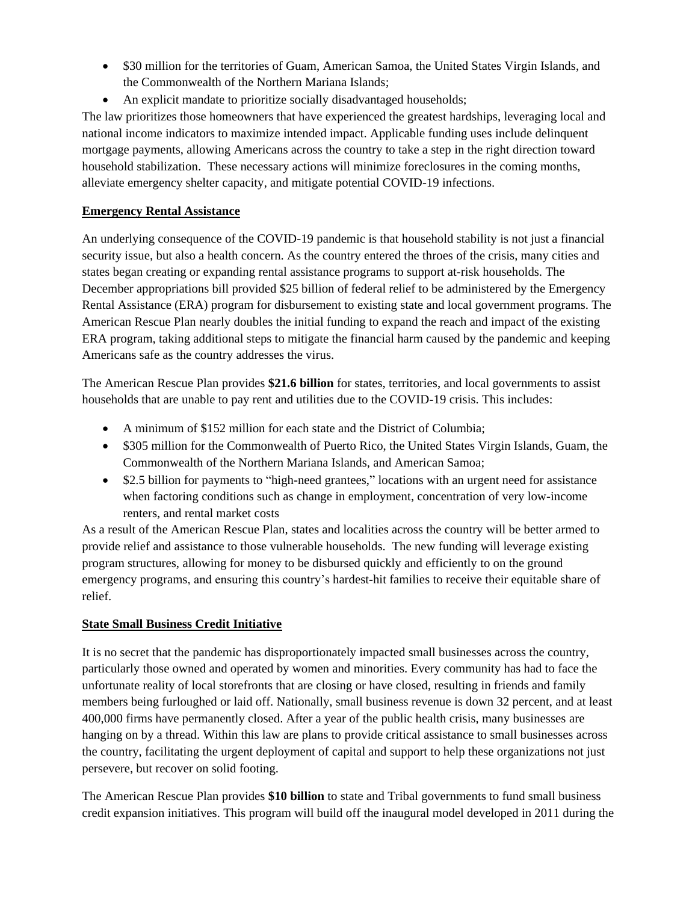- \$30 million for the territories of Guam, American Samoa, the United States Virgin Islands, and the Commonwealth of the Northern Mariana Islands;
- An explicit mandate to prioritize socially disadvantaged households;

The law prioritizes those homeowners that have experienced the greatest hardships, leveraging local and national income indicators to maximize intended impact. Applicable funding uses include delinquent mortgage payments, allowing Americans across the country to take a step in the right direction toward household stabilization. These necessary actions will minimize foreclosures in the coming months, alleviate emergency shelter capacity, and mitigate potential COVID-19 infections.

## **Emergency Rental Assistance**

An underlying consequence of the COVID-19 pandemic is that household stability is not just a financial security issue, but also a health concern. As the country entered the throes of the crisis, many cities and states began creating or expanding rental assistance programs to support at-risk households. The December appropriations bill provided \$25 billion of federal relief to be administered by the Emergency Rental Assistance (ERA) program for disbursement to existing state and local government programs. The American Rescue Plan nearly doubles the initial funding to expand the reach and impact of the existing ERA program, taking additional steps to mitigate the financial harm caused by the pandemic and keeping Americans safe as the country addresses the virus.

The American Rescue Plan provides **\$21.6 billion** for states, territories, and local governments to assist households that are unable to pay rent and utilities due to the COVID-19 crisis. This includes:

- A minimum of \$152 million for each state and the District of Columbia;
- \$305 million for the Commonwealth of Puerto Rico, the United States Virgin Islands, Guam, the Commonwealth of the Northern Mariana Islands, and American Samoa;
- \$2.5 billion for payments to "high-need grantees," locations with an urgent need for assistance when factoring conditions such as change in employment, concentration of very low-income renters, and rental market costs

As a result of the American Rescue Plan, states and localities across the country will be better armed to provide relief and assistance to those vulnerable households. The new funding will leverage existing program structures, allowing for money to be disbursed quickly and efficiently to on the ground emergency programs, and ensuring this country's hardest-hit families to receive their equitable share of relief.

# **State Small Business Credit Initiative**

It is no secret that the pandemic has disproportionately impacted small businesses across the country, particularly those owned and operated by women and minorities. Every community has had to face the unfortunate reality of local storefronts that are closing or have closed, resulting in friends and family members being furloughed or laid off. Nationally, small business revenue is down 32 percent, and at least 400,000 firms have permanently closed. After a year of the public health crisis, many businesses are hanging on by a thread. Within this law are plans to provide critical assistance to small businesses across the country, facilitating the urgent deployment of capital and support to help these organizations not just persevere, but recover on solid footing.

The American Rescue Plan provides **\$10 billion** to state and Tribal governments to fund small business credit expansion initiatives. This program will build off the inaugural model developed in 2011 during the